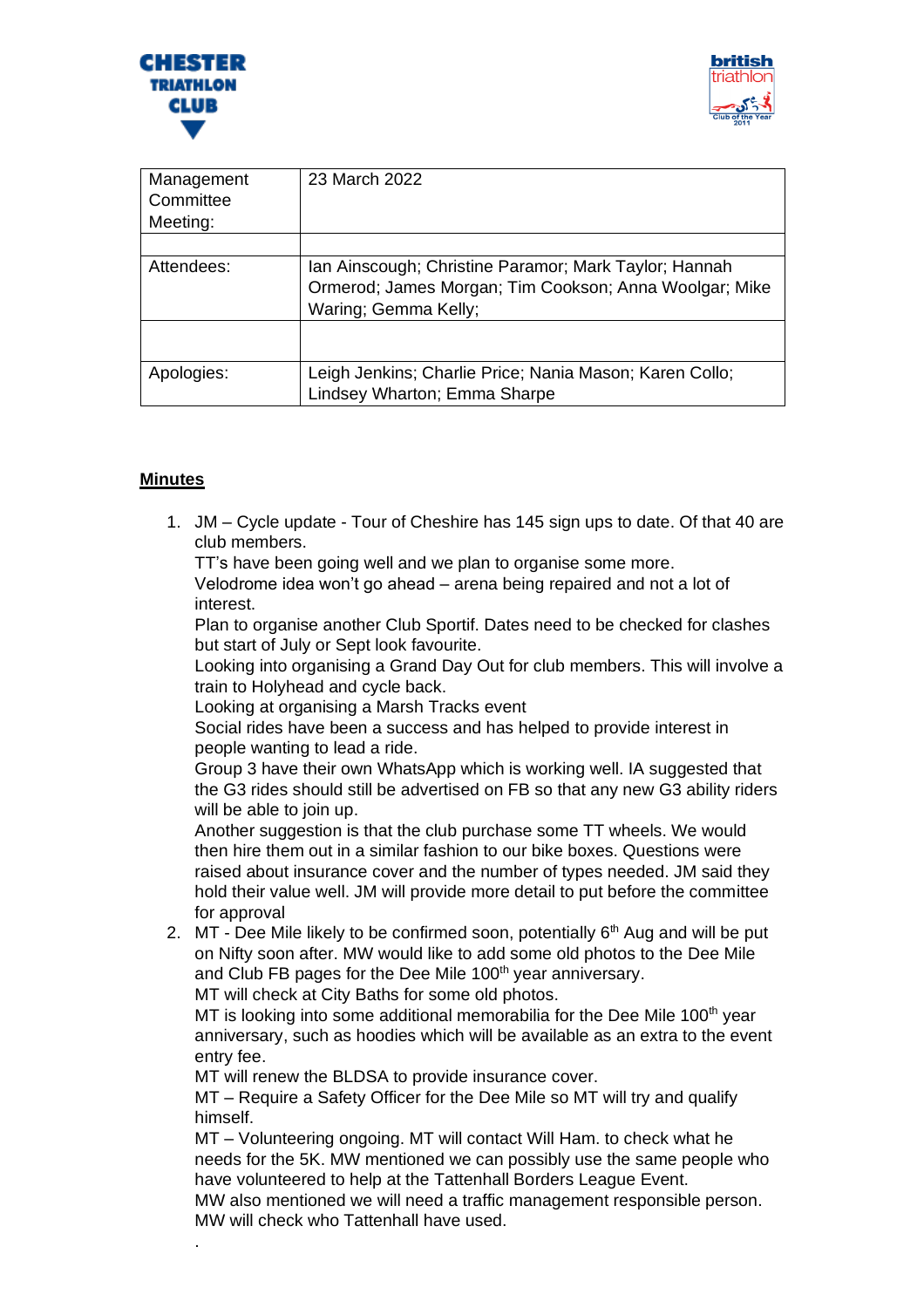



| Management<br>Committee<br>Meeting: | 23 March 2022                                                                                                                           |
|-------------------------------------|-----------------------------------------------------------------------------------------------------------------------------------------|
| Attendees:                          | Ian Ainscough; Christine Paramor; Mark Taylor; Hannah<br>Ormerod; James Morgan; Tim Cookson; Anna Woolgar; Mike<br>Waring; Gemma Kelly; |
| Apologies:                          | Leigh Jenkins; Charlie Price; Nania Mason; Karen Collo;<br>Lindsey Wharton; Emma Sharpe                                                 |

## **Minutes**

.

1. JM – Cycle update - Tour of Cheshire has 145 sign ups to date. Of that 40 are club members.

TT's have been going well and we plan to organise some more.

Velodrome idea won't go ahead – arena being repaired and not a lot of interest.

Plan to organise another Club Sportif. Dates need to be checked for clashes but start of July or Sept look favourite.

Looking into organising a Grand Day Out for club members. This will involve a train to Holyhead and cycle back.

Looking at organising a Marsh Tracks event

Social rides have been a success and has helped to provide interest in people wanting to lead a ride.

Group 3 have their own WhatsApp which is working well. IA suggested that the G3 rides should still be advertised on FB so that any new G3 ability riders will be able to join up.

Another suggestion is that the club purchase some TT wheels. We would then hire them out in a similar fashion to our bike boxes. Questions were raised about insurance cover and the number of types needed. JM said they hold their value well. JM will provide more detail to put before the committee for approval

2. MT - Dee Mile likely to be confirmed soon, potentially  $6<sup>th</sup>$  Aug and will be put on Nifty soon after. MW would like to add some old photos to the Dee Mile and Club FB pages for the Dee Mile 100<sup>th</sup> year anniversary.

MT will check at City Baths for some old photos.

MT is looking into some additional memorabilia for the Dee Mile 100<sup>th</sup> year anniversary, such as hoodies which will be available as an extra to the event entry fee.

MT will renew the BLDSA to provide insurance cover.

MT – Require a Safety Officer for the Dee Mile so MT will try and qualify himself.

MT – Volunteering ongoing. MT will contact Will Ham. to check what he needs for the 5K. MW mentioned we can possibly use the same people who have volunteered to help at the Tattenhall Borders League Event.

MW also mentioned we will need a traffic management responsible person. MW will check who Tattenhall have used.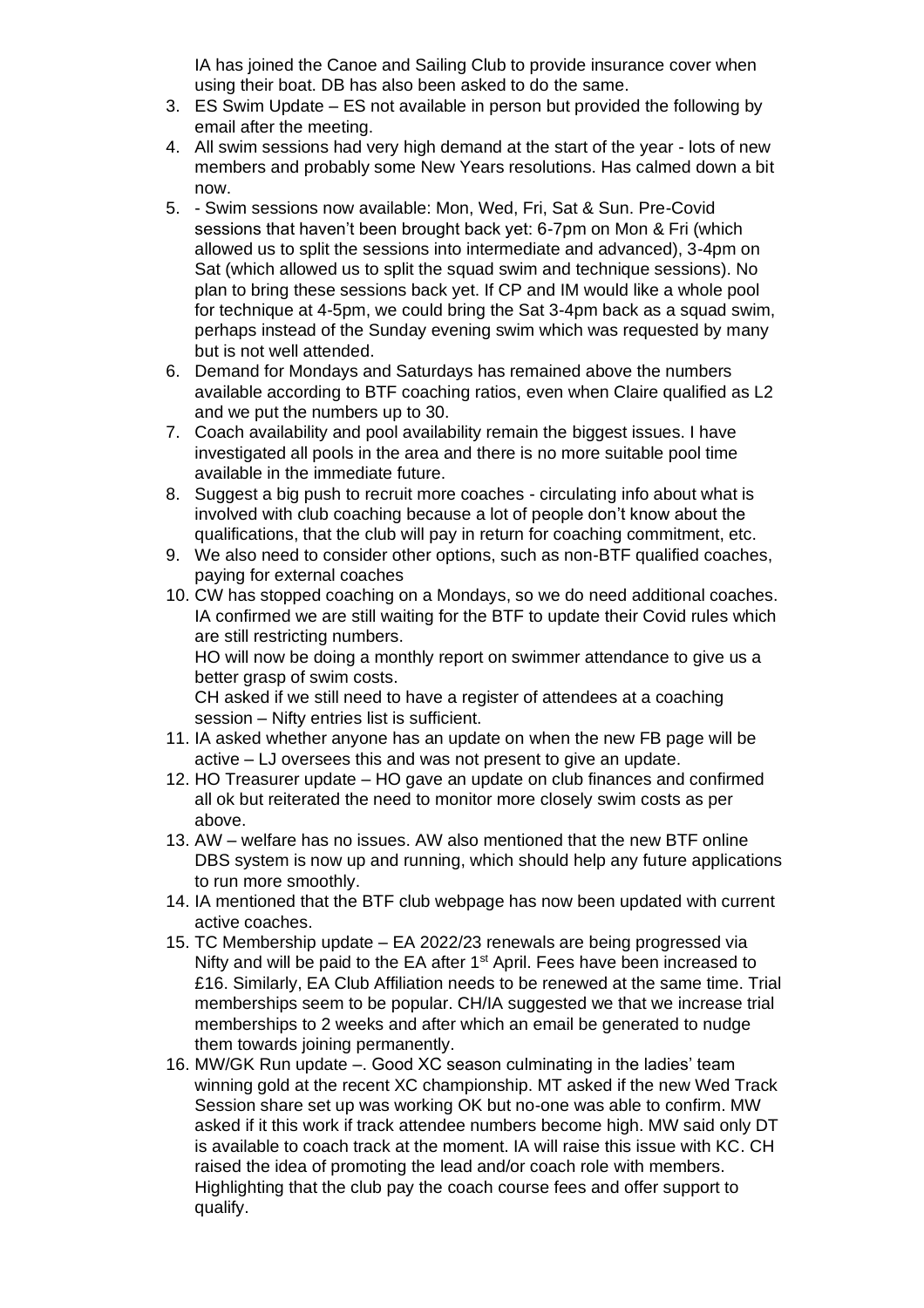IA has joined the Canoe and Sailing Club to provide insurance cover when using their boat. DB has also been asked to do the same.

- 3. ES Swim Update ES not available in person but provided the following by email after the meeting.
- 4. All swim sessions had very high demand at the start of the year lots of new members and probably some New Years resolutions. Has calmed down a bit now.
- 5. Swim sessions now available: Mon, Wed, Fri, Sat & Sun. Pre-Covid sessions that haven't been brought back yet: 6-7pm on Mon & Fri (which allowed us to split the sessions into intermediate and advanced), 3-4pm on Sat (which allowed us to split the squad swim and technique sessions). No plan to bring these sessions back yet. If CP and IM would like a whole pool for technique at 4-5pm, we could bring the Sat 3-4pm back as a squad swim, perhaps instead of the Sunday evening swim which was requested by many but is not well attended.
- 6. Demand for Mondays and Saturdays has remained above the numbers available according to BTF coaching ratios, even when Claire qualified as L2 and we put the numbers up to 30.
- 7. Coach availability and pool availability remain the biggest issues. I have investigated all pools in the area and there is no more suitable pool time available in the immediate future.
- 8. Suggest a big push to recruit more coaches circulating info about what is involved with club coaching because a lot of people don't know about the qualifications, that the club will pay in return for coaching commitment, etc.
- 9. We also need to consider other options, such as non-BTF qualified coaches, paying for external coaches
- 10. CW has stopped coaching on a Mondays, so we do need additional coaches. IA confirmed we are still waiting for the BTF to update their Covid rules which are still restricting numbers.

HO will now be doing a monthly report on swimmer attendance to give us a better grasp of swim costs.

CH asked if we still need to have a register of attendees at a coaching session – Nifty entries list is sufficient.

- 11. IA asked whether anyone has an update on when the new FB page will be active – LJ oversees this and was not present to give an update.
- 12. HO Treasurer update HO gave an update on club finances and confirmed all ok but reiterated the need to monitor more closely swim costs as per above.
- 13. AW welfare has no issues. AW also mentioned that the new BTF online DBS system is now up and running, which should help any future applications to run more smoothly.
- 14. IA mentioned that the BTF club webpage has now been updated with current active coaches.
- 15. TC Membership update EA 2022/23 renewals are being progressed via Nifty and will be paid to the EA after 1<sup>st</sup> April. Fees have been increased to £16. Similarly, EA Club Affiliation needs to be renewed at the same time. Trial memberships seem to be popular. CH/IA suggested we that we increase trial memberships to 2 weeks and after which an email be generated to nudge them towards joining permanently.
- 16. MW/GK Run update –. Good XC season culminating in the ladies' team winning gold at the recent XC championship. MT asked if the new Wed Track Session share set up was working OK but no-one was able to confirm. MW asked if it this work if track attendee numbers become high. MW said only DT is available to coach track at the moment. IA will raise this issue with KC. CH raised the idea of promoting the lead and/or coach role with members. Highlighting that the club pay the coach course fees and offer support to qualify.